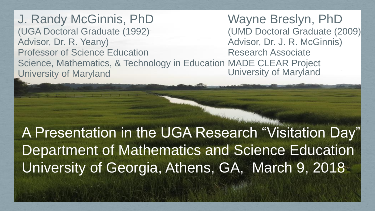J. Randy McGinnis, PhD (UGA Doctoral Graduate (1992) Advisor, Dr. R. Yeany) Professor of Science Education Science, Mathematics, & Technology in Education MADE CLEAR Project University of Maryland Wayne Breslyn, PhD (UMD Doctoral Graduate (2009) Advisor, Dr. J. R. McGinnis) Research Associate University of Maryland

A Presentation in the UGA Research "Visitation Day" Department of Mathematics and Science Education University of Georgia, Athens, GA, March 9, 2018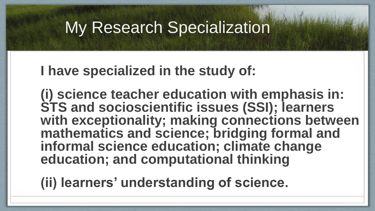## **My Research Specialization**

#### **I have specialized in the study of:**

**(i) science teacher education with emphasis in: STS and socioscientific issues (SSI); learners with exceptionality; making connections between mathematics and science; bridging formal and informal science education; climate change education; and computational thinking** 

**(ii) learners' understanding of science.**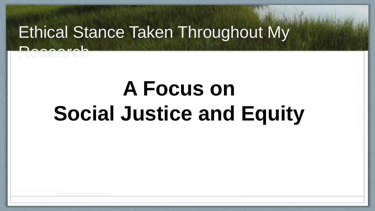## Ethical Stance Taken Throughout My

Research

# **A Focus on Social Justice and Equity**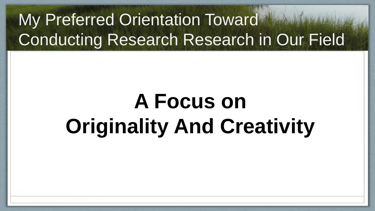## My Preferred Orientation Toward Conducting Research Research in Our Field

# **A Focus on Originality And Creativity**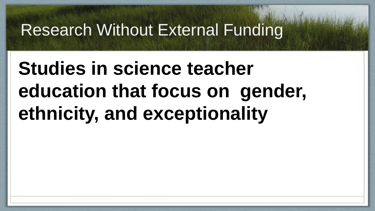## Research Without External Funding

## **Studies in science teacher education that focus on gender, ethnicity, and exceptionality**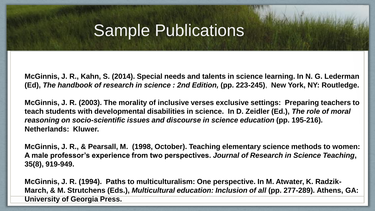#### **Sample Publications**

**McGinnis, J. R., Kahn, S. (2014). Special needs and talents in science learning. In N. G. Lederman (Ed),** *The handbook of research in science : 2nd Edition,* **(pp. 223-245)**, **New York, NY: Routledge.**

**McGinnis, J. R. (2003). The morality of inclusive verses exclusive settings: Preparing teachers to teach students with developmental disabilities in science. In D. Zeidler (Ed.),** *The role of moral reasoning on socio-scientific issues and discourse in science education* **(pp. 195-216). Netherlands: Kluwer.**

**McGinnis, J. R., & Pearsall, M. (1998, October). Teaching elementary science methods to women: A male professor's experience from two perspectives.** *Journal of Research in Science Teaching***, 35(8), 919-949.**

**McGinnis, J. R. (1994). Paths to multiculturalism: One perspective. In M. Atwater, K. Radzik-March, & M. Strutchens (Eds.),** *Multicultural education: Inclusion of all* **(pp. 277-289). Athens, GA: University of Georgia Press.**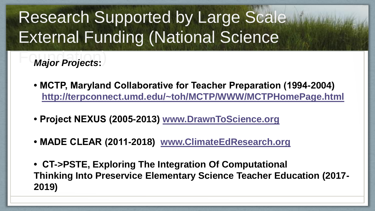## Research Supported by Large Scale External Funding (National Science

**Major Projects:** 

- **MCTP, Maryland Collaborative for Teacher Preparation (1994-2004) <http://terpconnect.umd.edu/~toh/MCTP/WWW/MCTPHomePage.html>**
- **Project NEXUS (2005-2013) [www.DrawnToScience.org](http://www.DrawnToScience.org)**
- **MADE CLEAR (2011-2018) [www.ClimateEdResearch.org](http://www.ClimateEdResearch.org)**
- **CT->PSTE, Exploring The Integration Of Computational Thinking Into Preservice Elementary Science Teacher Education (2017- 2019)**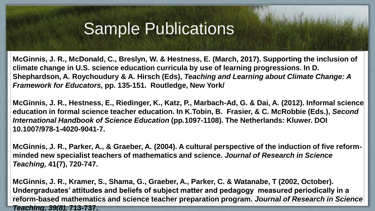## **Sample Publications**

**McGinnis, J. R., McDonald, C., Breslyn, W. & Hestness, E. (March, 2017). Supporting the inclusion of climate change in U.S. science education curricula by use of learning progressions. In D. Shephardson, A. Roychoudury & A. Hirsch (Eds),** *Teaching and Learning about Climate Change: A Framework for Educators,* **pp. 135-151. Routledge, New York/**

**McGinnis, J. R., Hestness, E., Riedinger, K., Katz, P., Marbach-Ad, G. & Dai, A. (2012). Informal science education in formal science teacher education. In K.Tobin, B. Frasier, & C. McRobbie (Eds.),** *Second International Handbook of Science Education* **(pp***.***1097-1108). The Netherlands: Kluwer. DOI 10.1007/978-1-4020-9041-7.**

**McGinnis, J. R., Parker, A., & Graeber, A. (2004). A cultural perspective of the induction of five reformminded new specialist teachers of mathematics and science.** *Journal of Research in Science Teaching,* **41(7), 720-747.**

**McGinnis, J. R., Kramer, S., Shama, G., Graeber, A., Parker, C. & Watanabe, T (2002, October). Undergraduates' attitudes and beliefs of subject matter and pedagogy measured periodically in a reform-based mathematics and science teacher preparation program.** *Journal of Research in Science Teaching, 39(8),* **713-737.**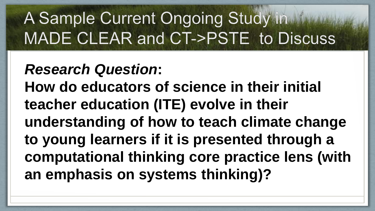# A Sample Current Ongoing Study in<br>MADE CLEAR and CT->PSTE to Discuss

#### *Research Question***:**

**How do educators of science in their initial teacher education (ITE) evolve in their understanding of how to teach climate change to young learners if it is presented through a computational thinking core practice lens (with an emphasis on systems thinking)?**